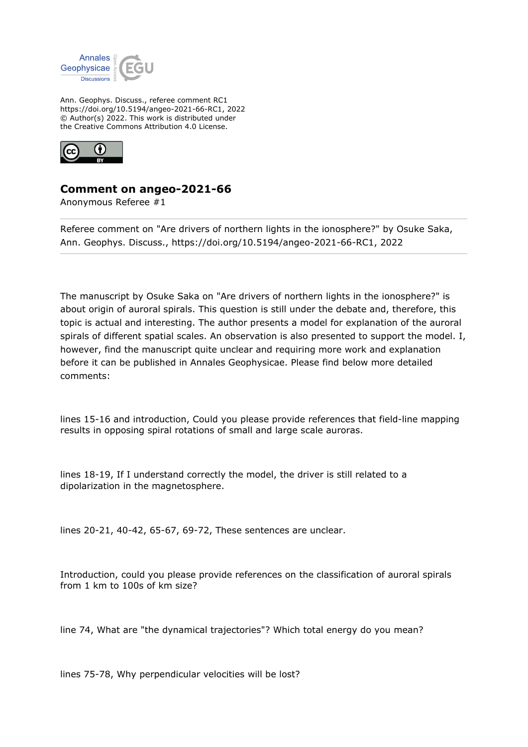

Ann. Geophys. Discuss., referee comment RC1 https://doi.org/10.5194/angeo-2021-66-RC1, 2022 © Author(s) 2022. This work is distributed under the Creative Commons Attribution 4.0 License.



## **Comment on angeo-2021-66**

Anonymous Referee #1

Referee comment on "Are drivers of northern lights in the ionosphere?" by Osuke Saka, Ann. Geophys. Discuss., https://doi.org/10.5194/angeo-2021-66-RC1, 2022

The manuscript by Osuke Saka on "Are drivers of northern lights in the ionosphere?" is about origin of auroral spirals. This question is still under the debate and, therefore, this topic is actual and interesting. The author presents a model for explanation of the auroral spirals of different spatial scales. An observation is also presented to support the model. I, however, find the manuscript quite unclear and requiring more work and explanation before it can be published in Annales Geophysicae. Please find below more detailed comments:

lines 15-16 and introduction, Could you please provide references that field-line mapping results in opposing spiral rotations of small and large scale auroras.

lines 18-19, If I understand correctly the model, the driver is still related to a dipolarization in the magnetosphere.

lines 20-21, 40-42, 65-67, 69-72, These sentences are unclear.

Introduction, could you please provide references on the classification of auroral spirals from 1 km to 100s of km size?

line 74, What are "the dynamical trajectories"? Which total energy do you mean?

lines 75-78, Why perpendicular velocities will be lost?